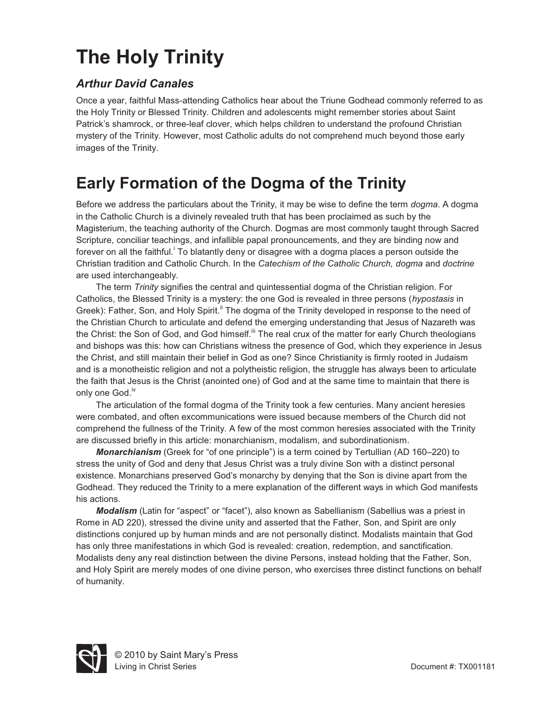# **The Holy Trinity**

#### *Arthur David Canales*

Once a year, faithful Mass-attending Catholics hear about the Triune Godhead commonly referred to as the Holy Trinity or Blessed Trinity. Children and adolescents might remember stories about Saint Patrick's shamrock, or three-leaf clover, which helps children to understand the profound Christian mystery of the Trinity. However, most Catholic adults do not comprehend much beyond those early images of the Trinity.

## **Early Formation of the Dogma of the Trinity**

Before we address the particulars about the Trinity, it may be wise to define the term *dogma*. A dogma in the Catholic Church is a divinely revealed truth that has been proclaimed as such by the Magisterium, the teaching authority of the Church. Dogmas are most commonly taught through Sacred Scripture, conciliar teachings, and infallible papal pronouncements, and they are binding now and forever on all the faithful.<sup>i</sup> To blatantly deny or disagree with a dogma places a person outside the Christian tradition and Catholic Church. In the *Catechism of the Catholic Church, dogma* and *doctrine*  are used interchangeably.

The term *Trinity* signifies the central and quintessential dogma of the Christian religion. For Catholics, the Blessed Trinity is a mystery: the one God is revealed in three persons (*hypostasis* in Greek): Father, Son, and Holy Spirit.<sup>ii</sup> The dogma of the Trinity developed in response to the need of the Christian Church to articulate and defend the emerging understanding that Jesus of Nazareth was the Christ: the Son of God, and God himself.<sup>iii</sup> The real crux of the matter for early Church theologians and bishops was this: how can Christians witness the presence of God, which they experience in Jesus the Christ, and still maintain their belief in God as one? Since Christianity is firmly rooted in Judaism and is a monotheistic religion and not a polytheistic religion, the struggle has always been to articulate the faith that Jesus is the Christ (anointed one) of God and at the same time to maintain that there is only one God.<sup>iv</sup>

The articulation of the formal dogma of the Trinity took a few centuries. Many ancient heresies were combated, and often excommunications were issued because members of the Church did not comprehend the fullness of the Trinity. A few of the most common heresies associated with the Trinity are discussed briefly in this article: monarchianism, modalism, and subordinationism.

*Monarchianism* (Greek for "of one principle") is a term coined by Tertullian (AD 160–220) to stress the unity of God and deny that Jesus Christ was a truly divine Son with a distinct personal existence. Monarchians preserved God's monarchy by denying that the Son is divine apart from the Godhead. They reduced the Trinity to a mere explanation of the different ways in which God manifests his actions.

*Modalism* (Latin for "aspect" or "facet"), also known as Sabellianism (Sabellius was a priest in Rome in AD 220), stressed the divine unity and asserted that the Father, Son, and Spirit are only distinctions conjured up by human minds and are not personally distinct. Modalists maintain that God has only three manifestations in which God is revealed: creation, redemption, and sanctification. Modalists deny any real distinction between the divine Persons, instead holding that the Father, Son, and Holy Spirit are merely modes of one divine person, who exercises three distinct functions on behalf of humanity.

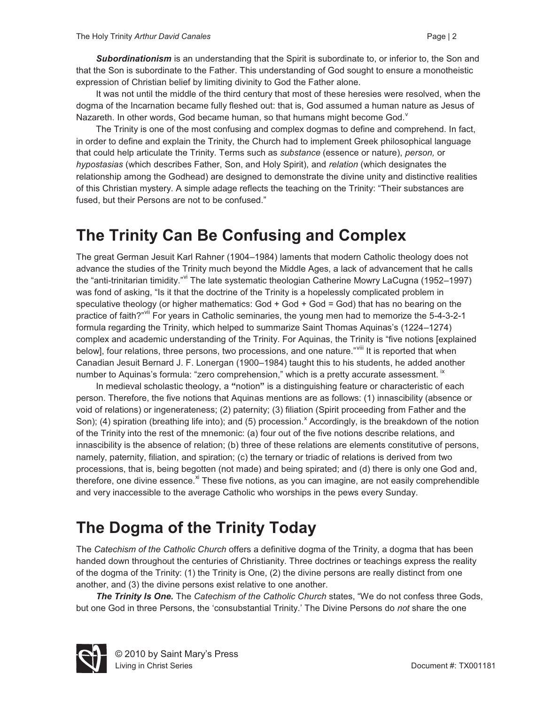*Subordinationism* is an understanding that the Spirit is subordinate to, or inferior to, the Son and that the Son is subordinate to the Father. This understanding of God sought to ensure a monotheistic expression of Christian belief by limiting divinity to God the Father alone.

It was not until the middle of the third century that most of these heresies were resolved, when the dogma of the Incarnation became fully fleshed out: that is, God assumed a human nature as Jesus of Nazareth. In other words, God became human, so that humans might become God.

The Trinity is one of the most confusing and complex dogmas to define and comprehend. In fact, in order to define and explain the Trinity, the Church had to implement Greek philosophical language that could help articulate the Trinity. Terms such as *substance* (essence or nature), *person,* or *hypostasias* (which describes Father, Son, and Holy Spirit), and *relation* (which designates the relationship among the Godhead) are designed to demonstrate the divine unity and distinctive realities of this Christian mystery. A simple adage reflects the teaching on the Trinity: "Their substances are fused, but their Persons are not to be confused."

#### **The Trinity Can Be Confusing and Complex**

The great German Jesuit Karl Rahner (1904–1984) laments that modern Catholic theology does not advance the studies of the Trinity much beyond the Middle Ages, a lack of advancement that he calls the "anti-trinitarian timidity." The late systematic theologian Catherine Mowry LaCugna (1952–1997) was fond of asking, "Is it that the doctrine of the Trinity is a hopelessly complicated problem in speculative theology (or higher mathematics: God + God + God = God) that has no bearing on the practice of faith?"<sup>vii</sup> For years in Catholic seminaries, the young men had to memorize the 5-4-3-2-1 formula regarding the Trinity, which helped to summarize Saint Thomas Aquinas's (1224–1274) complex and academic understanding of the Trinity. For Aquinas, the Trinity is "five notions [explained below], four relations, three persons, two processions, and one nature."<sup>viii</sup> It is reported that when Canadian Jesuit Bernard J. F. Lonergan (1900–1984) taught this to his students, he added another number to Aquinas's formula: "zero comprehension," which is a pretty accurate assessment. "

In medieval scholastic theology, a **"**notion**"** is a distinguishing feature or characteristic of each person. Therefore, the five notions that Aquinas mentions are as follows: (1) innascibility (absence or void of relations) or ingenerateness; (2) paternity; (3) filiation (Spirit proceeding from Father and the Son); (4) spiration (breathing life into); and (5) procession. Accordingly, is the breakdown of the notion of the Trinity into the rest of the mnemonic: (a) four out of the five notions describe relations, and innascibility is the absence of relation; (b) three of these relations are elements constitutive of persons, namely, paternity, filiation, and spiration; (c) the ternary or triadic of relations is derived from two processions, that is, being begotten (not made) and being spirated; and (d) there is only one God and, therefore, one divine essence.<sup>xi</sup> These five notions, as you can imagine, are not easily comprehendible and very inaccessible to the average Catholic who worships in the pews every Sunday.

### **The Dogma of the Trinity Today**

The *Catechism of the Catholic Church* offers a definitive dogma of the Trinity, a dogma that has been handed down throughout the centuries of Christianity. Three doctrines or teachings express the reality of the dogma of the Trinity: (1) the Trinity is One, (2) the divine persons are really distinct from one another, and (3) the divine persons exist relative to one another.

*The Trinity Is One.* The *Catechism of the Catholic Church* states, "We do not confess three Gods, but one God in three Persons, the 'consubstantial Trinity.' The Divine Persons do *not* share the one

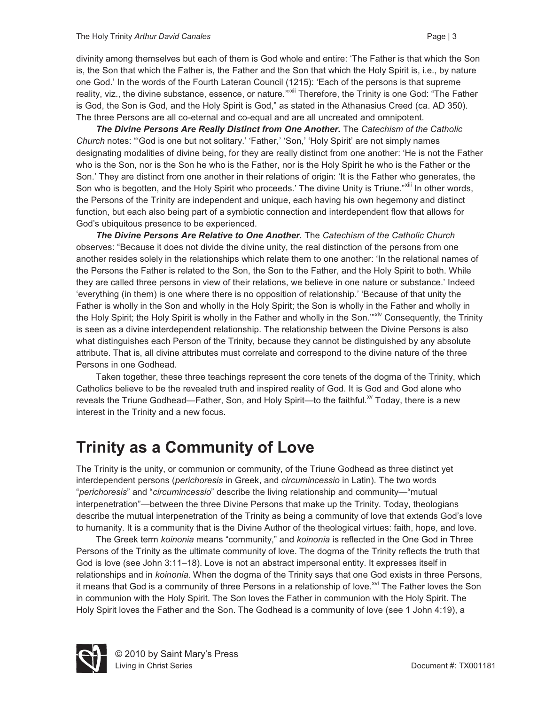divinity among themselves but each of them is God whole and entire: 'The Father is that which the Son is, the Son that which the Father is, the Father and the Son that which the Holy Spirit is, i.e., by nature one God.' In the words of the Fourth Lateran Council (1215): 'Each of the persons is that supreme reality, viz., the divine substance, essence, or nature." Xil Therefore, the Trinity is one God: "The Father is God, the Son is God, and the Holy Spirit is God," as stated in the Athanasius Creed (ca. AD 350). The three Persons are all co-eternal and co-equal and are all uncreated and omnipotent.

*The Divine Persons Are Really Distinct from One Another.* The *Catechism of the Catholic Church* notes: "'God is one but not solitary.' 'Father,' 'Son,' 'Holy Spirit' are not simply names designating modalities of divine being, for they are really distinct from one another: 'He is not the Father who is the Son, nor is the Son he who is the Father, nor is the Holy Spirit he who is the Father or the Son.' They are distinct from one another in their relations of origin: 'It is the Father who generates, the Son who is begotten, and the Holy Spirit who proceeds.' The divine Unity is Triune."<sup>xiii</sup> In other words, the Persons of the Trinity are independent and unique, each having his own hegemony and distinct function, but each also being part of a symbiotic connection and interdependent flow that allows for God's ubiquitous presence to be experienced.

*The Divine Persons Are Relative to One Another.* The *Catechism of the Catholic Church* observes: "Because it does not divide the divine unity, the real distinction of the persons from one another resides solely in the relationships which relate them to one another: 'In the relational names of the Persons the Father is related to the Son, the Son to the Father, and the Holy Spirit to both. While they are called three persons in view of their relations, we believe in one nature or substance.' Indeed 'everything (in them) is one where there is no opposition of relationship.' 'Because of that unity the Father is wholly in the Son and wholly in the Holy Spirit; the Son is wholly in the Father and wholly in the Holy Spirit; the Holy Spirit is wholly in the Father and wholly in the Son."<sup>xiv</sup> Consequently, the Trinity is seen as a divine interdependent relationship. The relationship between the Divine Persons is also what distinguishes each Person of the Trinity, because they cannot be distinguished by any absolute attribute. That is, all divine attributes must correlate and correspond to the divine nature of the three Persons in one Godhead.

Taken together, these three teachings represent the core tenets of the dogma of the Trinity, which Catholics believe to be the revealed truth and inspired reality of God. It is God and God alone who reveals the Triune Godhead—Father, Son, and Holy Spirit—to the faithful.<sup>xv</sup> Today, there is a new interest in the Trinity and a new focus.

#### **Trinity as a Community of Love**

The Trinity is the unity, or communion or community, of the Triune Godhead as three distinct yet interdependent persons (*perichoresis* in Greek, and *circumincessio* in Latin). The two words "*perichoresis*" and "*circumincessio*" describe the living relationship and community—"mutual interpenetration"—between the three Divine Persons that make up the Trinity. Today, theologians describe the mutual interpenetration of the Trinity as being a community of love that extends God's love to humanity. It is a community that is the Divine Author of the theological virtues: faith, hope, and love.

The Greek term *koinonia* means "community," and *koinonia* is reflected in the One God in Three Persons of the Trinity as the ultimate community of love. The dogma of the Trinity reflects the truth that God is love (see John 3:11–18). Love is not an abstract impersonal entity. It expresses itself in relationships and in *koinonia*. When the dogma of the Trinity says that one God exists in three Persons, it means that God is a community of three Persons in a relationship of love.<sup>xvi</sup> The Father loves the Son in communion with the Holy Spirit. The Son loves the Father in communion with the Holy Spirit. The Holy Spirit loves the Father and the Son. The Godhead is a community of love (see 1 John 4:19), a



© 2010 by Saint Mary's Press Living in Christ Series **Document #: TX001181**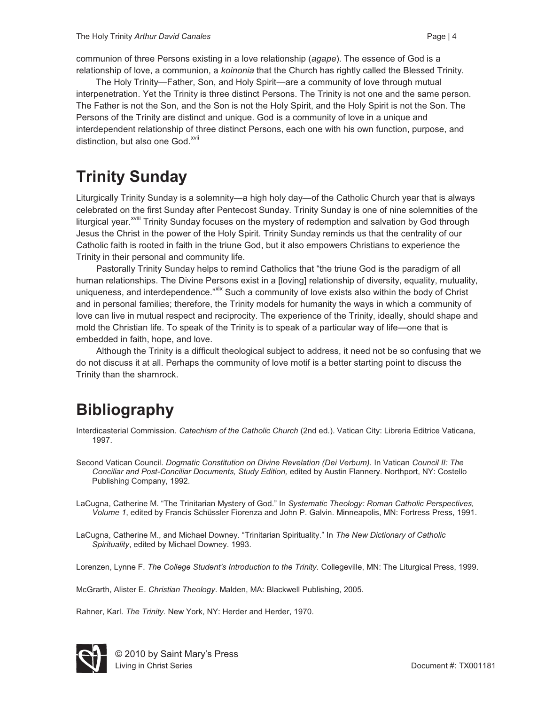communion of three Persons existing in a love relationship (*agape*). The essence of God is a relationship of love, a communion, a *koinonia* that the Church has rightly called the Blessed Trinity.

The Holy Trinity—Father, Son, and Holy Spirit—are a community of love through mutual interpenetration. Yet the Trinity is three distinct Persons. The Trinity is not one and the same person. The Father is not the Son, and the Son is not the Holy Spirit, and the Holy Spirit is not the Son. The Persons of the Trinity are distinct and unique. God is a community of love in a unique and interdependent relationship of three distinct Persons, each one with his own function, purpose, and distinction, but also one God.<sup>xvii</sup>

# **Trinity Sunday**

Liturgically Trinity Sunday is a solemnity—a high holy day—of the Catholic Church year that is always celebrated on the first Sunday after Pentecost Sunday. Trinity Sunday is one of nine solemnities of the liturgical year.<sup>xviii</sup> Trinity Sunday focuses on the mystery of redemption and salvation by God through Jesus the Christ in the power of the Holy Spirit. Trinity Sunday reminds us that the centrality of our Catholic faith is rooted in faith in the triune God, but it also empowers Christians to experience the Trinity in their personal and community life.

 Pastorally Trinity Sunday helps to remind Catholics that "the triune God is the paradigm of all human relationships. The Divine Persons exist in a [loving] relationship of diversity, equality, mutuality, uniqueness, and interdependence."<sup>XIX</sup> Such a community of love exists also within the body of Christ and in personal families; therefore, the Trinity models for humanity the ways in which a community of love can live in mutual respect and reciprocity. The experience of the Trinity, ideally, should shape and mold the Christian life. To speak of the Trinity is to speak of a particular way of life—one that is embedded in faith, hope, and love.

 Although the Trinity is a difficult theological subject to address, it need not be so confusing that we do not discuss it at all. Perhaps the community of love motif is a better starting point to discuss the Trinity than the shamrock.

# **Bibliography**

Interdicasterial Commission. *Catechism of the Catholic Church* (2nd ed*.*). Vatican City: Libreria Editrice Vaticana, 1997.

Second Vatican Council. *Dogmatic Constitution on Divine Revelation (Dei Verbum).* In Vatican *Council II: The Conciliar and Post-Conciliar Documents, Study Edition,* edited by Austin Flannery. Northport, NY: Costello Publishing Company, 1992.

LaCugna, Catherine M. "The Trinitarian Mystery of God." In *Systematic Theology: Roman Catholic Perspectives, Volume 1*, edited by Francis Schüssler Fiorenza and John P. Galvin. Minneapolis, MN: Fortress Press, 1991.

LaCugna, Catherine M., and Michael Downey. "Trinitarian Spirituality." In *The New Dictionary of Catholic Spirituality*, edited by Michael Downey. 1993.

Lorenzen, Lynne F. *The College Student's Introduction to the Trinity.* Collegeville, MN: The Liturgical Press, 1999.

McGrarth, Alister E. *Christian Theology*. Malden, MA: Blackwell Publishing, 2005.

Rahner, Karl. *The Trinity.* New York, NY: Herder and Herder, 1970.



© 2010 by Saint Mary's Press Living in Christ Series **Document #: TX001181**